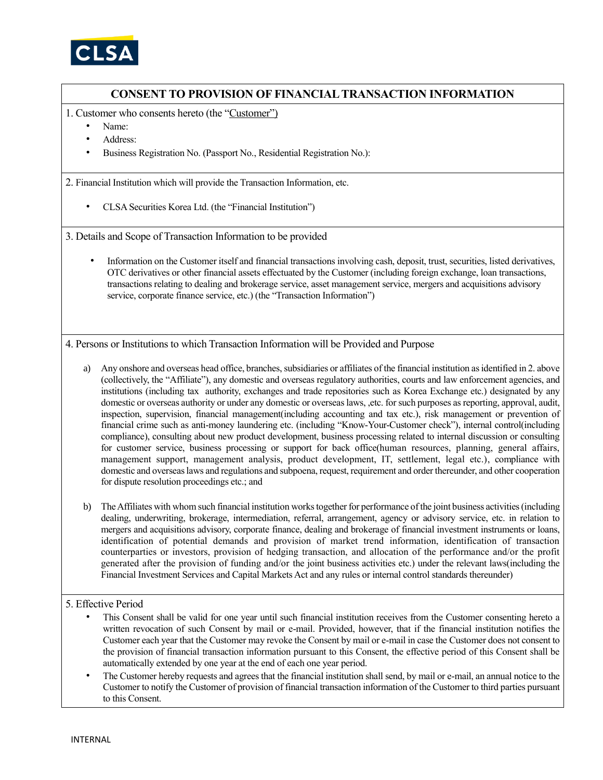

## **CONSENT TO PROVISION OF FINANCIAL TRANSACTION INFORMATION**

- 1. Customer who consents hereto (the "Customer")
	- Name:
	- Address:
	- Business Registration No. (Passport No., Residential Registration No.):

2. Financial Institution which will provide the Transaction Information, etc.

• CLSA Securities Korea Ltd. (the "Financial Institution")

3. Details and Scope of Transaction Information to be provided

• Information on the Customer itself and financial transactions involving cash, deposit, trust, securities, listed derivatives, OTC derivatives or other financial assets effectuated by the Customer (including foreign exchange, loan transactions, transactions relating to dealing and brokerage service, asset management service, mergers and acquisitions advisory service, corporate finance service, etc.) (the "Transaction Information")

4. Persons or Institutions to which Transaction Information will be Provided and Purpose

- a) Any onshore and overseas head office, branches, subsidiaries or affiliates of the financial institution as identified in 2. above (collectively, the "Affiliate"), any domestic and overseas regulatory authorities, courts and law enforcement agencies, and institutions (including tax authority, exchanges and trade repositories such as Korea Exchange etc.) designated by any domestic or overseas authority or under any domestic or overseas laws, ,etc. for such purposes as reporting, approval, audit, inspection, supervision, financial management(including accounting and tax etc.), risk management or prevention of financial crime such as anti-money laundering etc. (including "Know-Your-Customer check"), internal control(including compliance), consulting about new product development, business processing related to internal discussion or consulting for customer service, business processing or support for back office(human resources, planning, general affairs, management support, management analysis, product development, IT, settlement, legal etc.), compliance with domestic and overseas laws and regulations and subpoena, request, requirement and order thereunder, and other cooperation for dispute resolution proceedings etc.; and
- b) The Affiliates with whom such financial institution works together for performance of the joint business activities (including dealing, underwriting, brokerage, intermediation, referral, arrangement, agency or advisory service, etc. in relation to mergers and acquisitions advisory, corporate finance, dealing and brokerage of financial investment instruments or loans, identification of potential demands and provision of market trend information, identification of transaction counterparties or investors, provision of hedging transaction, and allocation of the performance and/or the profit generated after the provision of funding and/or the joint business activities etc.) under the relevant laws(including the Financial Investment Services and Capital Markets Act and any rules or internal control standards thereunder)

## 5. Effective Period

- This Consent shall be valid for one year until such financial institution receives from the Customer consenting hereto a written revocation of such Consent by mail or e-mail. Provided, however, that if the financial institution notifies the Customer each year that the Customer may revoke the Consent by mail or e-mail in case the Customer does not consent to the provision of financial transaction information pursuant to this Consent, the effective period of this Consent shall be automatically extended by one year at the end of each one year period.
- The Customer hereby requests and agrees that the financial institution shall send, by mail or e-mail, an annual notice to the Customer to notify the Customer of provision of financial transaction information of the Customer to third parties pursuant to this Consent.